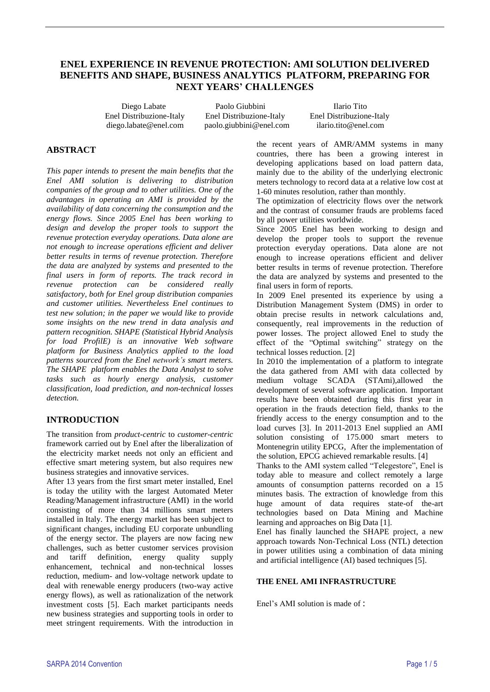# **ENEL EXPERIENCE IN REVENUE PROTECTION: AMI SOLUTION DELIVERED BENEFITS AND SHAPE, BUSINESS ANALYTICS PLATFORM, PREPARING FOR NEXT YEARS' CHALLENGES**

 Diego Labate Paolo Giubbini Ilario Tito Enel Distribuzione-Italy Enel Distribuzione-Italy Enel Distribuzione-Italy [diego.labate@enel.com](mailto:diego.labate@enel.com) paolo.giubbini@enel.com ilario.tito@enel.com

# **ABSTRACT**

*This paper intends to present the main benefits that the Enel AMI solution is delivering to distribution companies of the group and to other utilities. One of the advantages in operating an AMI is provided by the availability of data concerning the consumption and the energy flows. Since 2005 Enel has been working to design and develop the proper tools to support the revenue protection everyday operations. Data alone are not enough to increase operations efficient and deliver better results in terms of revenue protection. Therefore the data are analyzed by systems and presented to the final users in form of reports. The track record in revenue protection can be considered really satisfactory, both for Enel group distribution companies and customer utilities. Nevertheless Enel continues to test new solution; in the paper we would like to provide some insights on the new trend in data analysis and pattern recognition. SHAPE (Statistical Hybrid Analysis for load ProfilE) is an innovative Web software platform for Business Analytics applied to the load patterns sourced from the Enel network's smart meters. The SHAPE platform enables the Data Analyst to solve tasks such as hourly energy analysis, customer classification, load prediction, and non-technical losses detection.*

# **INTRODUCTION**

The transition from *product-centric* to *customer-centric* framework carried out by Enel after the liberalization of the electricity market needs not only an efficient and effective smart metering system, but also requires new business strategies and innovative services.

After 13 years from the first smart meter installed, Enel is today the utility with the largest Automated Meter Reading/Management infrastructure (AMI) in the world consisting of more than 34 millions smart meters installed in Italy. The energy market has been subject to significant changes, including EU corporate unbundling of the energy sector. The players are now facing new challenges, such as better customer services provision and tariff definition, energy quality supply enhancement, technical and non-technical losses reduction, medium- and low-voltage network update to deal with renewable energy producers (two-way active energy flows), as well as rationalization of the network investment costs [5]. Each market participants needs new business strategies and supporting tools in order to meet stringent requirements. With the introduction in

the recent years of AMR/AMM systems in many countries, there has been a growing interest in developing applications based on load pattern data, mainly due to the ability of the underlying electronic meters technology to record data at a relative low cost at 1-60 minutes resolution, rather than monthly.

The optimization of electricity flows over the network and the contrast of consumer frauds are problems faced by all power utilities worldwide.

Since 2005 Enel has been working to design and develop the proper tools to support the revenue protection everyday operations. Data alone are not enough to increase operations efficient and deliver better results in terms of revenue protection. Therefore the data are analyzed by systems and presented to the final users in form of reports.

In 2009 Enel presented its experience by using a Distribution Management System (DMS) in order to obtain precise results in network calculations and, consequently, real improvements in the reduction of power losses. The project allowed Enel to study the effect of the "Optimal switching" strategy on the technical losses reduction. [2]

In 2010 the implementation of a platform to integrate the data gathered from AMI with data collected by medium voltage SCADA (STAmi),allowed the development of several software application. Important results have been obtained during this first year in operation in the frauds detection field, thanks to the friendly access to the energy consumption and to the load curves [3]. In 2011-2013 Enel supplied an AMI solution consisting of 175.000 smart meters to Montenegrin utility EPCG, After the implementation of the solution, EPCG achieved remarkable results. [4]

Thanks to the AMI system called "Telegestore", Enel is today able to measure and collect remotely a large amounts of consumption patterns recorded on a 15 minutes basis. The extraction of knowledge from this huge amount of data requires state-of the-art technologies based on Data Mining and Machine learning and approaches on Big Data [1].

Enel has finally launched the SHAPE project, a new approach towards Non-Technical Loss (NTL) detection in power utilities using a combination of data mining and artificial intelligence (AI) based techniques [5].

### **THE ENEL AMI INFRASTRUCTURE**

Enel's AMI solution is made of :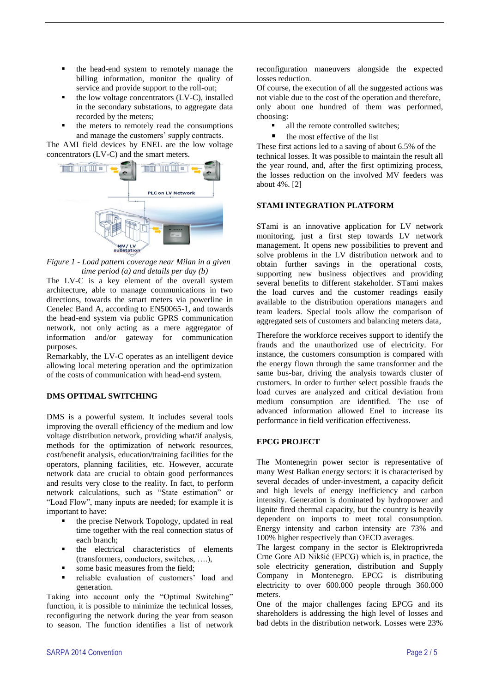- the head-end system to remotely manage the billing information, monitor the quality of service and provide support to the roll-out;
- the low voltage concentrators (LV-C), installed in the secondary substations, to aggregate data recorded by the meters;
- the meters to remotely read the consumptions and manage the customers' supply contracts.

The AMI field devices by ENEL are the low voltage concentrators (LV-C) and the smart meters.



*Figure 1 - Load pattern coverage near Milan in a given time period (a) and details per day (b)*

The LV-C is a key element of the overall system architecture, able to manage communications in two directions, towards the smart meters via powerline in Cenelec Band A, according to EN50065-1, and towards the head-end system via public GPRS communication network, not only acting as a mere aggregator of information and/or gateway for communication purposes.

Remarkably, the LV-C operates as an intelligent device allowing local metering operation and the optimization of the costs of communication with head-end system.

### **DMS OPTIMAL SWITCHING**

DMS is a powerful system. It includes several tools improving the overall efficiency of the medium and low voltage distribution network, providing what/if analysis, methods for the optimization of network resources, cost/benefit analysis, education/training facilities for the operators, planning facilities, etc. However, accurate network data are crucial to obtain good performances and results very close to the reality. In fact, to perform network calculations, such as "State estimation" or "Load Flow", many inputs are needed; for example it is important to have:

- the precise Network Topology, updated in real time together with the real connection status of each branch;
- the electrical characteristics of elements (transformers, conductors, switches, ….),
- some basic measures from the field;
- **reliable evaluation of customers' load and** generation.

Taking into account only the "Optimal Switching" function, it is possible to minimize the technical losses, reconfiguring the network during the year from season to season. The function identifies a list of network reconfiguration maneuvers alongside the expected losses reduction.

Of course, the execution of all the suggested actions was not viable due to the cost of the operation and therefore, only about one hundred of them was performed, choosing:

- all the remote controlled switches;
- the most effective of the list

These first actions led to a saving of about 6.5% of the technical losses. It was possible to maintain the result all the year round, and, after the first optimizing process, the losses reduction on the involved MV feeders was about 4%. [2]

### **STAMI INTEGRATION PLATFORM**

STami is an innovative application for LV network monitoring, just a first step towards LV network management. It opens new possibilities to prevent and solve problems in the LV distribution network and to obtain further savings in the operational costs, supporting new business objectives and providing several benefits to different stakeholder. STami makes the load curves and the customer readings easily available to the distribution operations managers and team leaders. Special tools allow the comparison of aggregated sets of customers and balancing meters data,

Therefore the workforce receives support to identify the frauds and the unauthorized use of electricity. For instance, the customers consumption is compared with the energy flown through the same transformer and the same bus-bar, driving the analysis towards cluster of customers. In order to further select possible frauds the load curves are analyzed and critical deviation from medium consumption are identified. The use of advanced information allowed Enel to increase its performance in field verification effectiveness.

#### **EPCG PROJECT**

The Montenegrin power sector is representative of many West Balkan energy sectors: it is characterised by several decades of under-investment, a capacity deficit and high levels of energy inefficiency and carbon intensity. Generation is dominated by hydropower and lignite fired thermal capacity, but the country is heavily dependent on imports to meet total consumption. Energy intensity and carbon intensity are 73% and 100% higher respectively than OECD averages.

The largest company in the sector is Elektroprivreda Crne Gore AD Nikšić (EPCG) which is, in practice, the sole electricity generation, distribution and Supply Company in Montenegro. EPCG is distributing electricity to over 600.000 people through 360.000 meters.

One of the major challenges facing EPCG and its shareholders is addressing the high level of losses and bad debts in the distribution network. Losses were 23%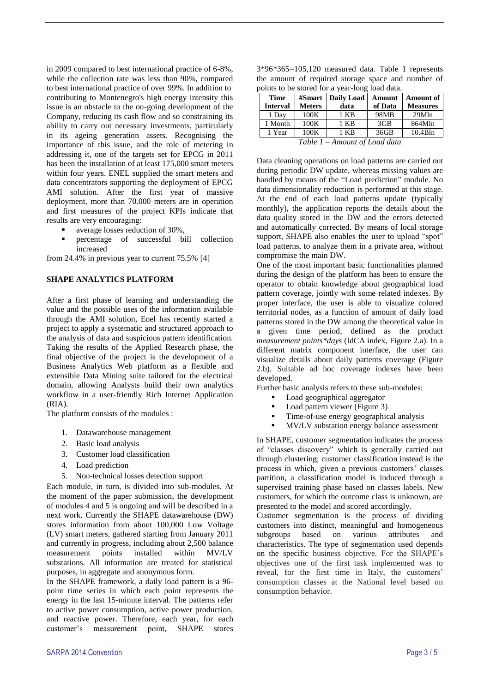in 2009 compared to best international practice of 6-8%, while the collection rate was less than 90%, compared to best international practice of over 99%. In addition to contributing to Montenegro's high energy intensity this issue is an obstacle to the on-going development of the Company, reducing its cash flow and so constraining its ability to carry out necessary investments, particularly in its ageing generation assets. Recognising the importance of this issue, and the role of metering in addressing it, one of the targets set for EPCG in 2011 has been the installation of at least 175,000 smart meters within four years. ENEL supplied the smart meters and data concentrators supporting the deployment of EPCG AMI solution. After the first year of massive deployment, more than 70.000 meters are in operation and first measures of the project KPIs indicate that results are very encouraging:

- average losses reduction of 30%,
- percentage of successful bill collection increased

from 24.4% in previous year to current 75.5% [4]

#### **SHAPE ANALYTICS PLATFORM**

After a first phase of learning and understanding the value and the possible uses of the information available through the AMI solution, Enel has recently started a project to apply a systematic and structured approach to the analysis of data and suspicious pattern identification. Taking the results of the Applied Research phase, the final objective of the project is the development of a Business Analytics Web platform as a flexible and extensible Data Mining suite tailored for the electrical domain, allowing Analysts build their own analytics workflow in a user-friendly Rich Internet Application (RIA).

The platform consists of the modules :

- 1. Datawarehouse management
- 2. Basic load analysis
- 3. Customer load classification
- 4. Load prediction
- 5. Non-technical losses detection support

Each module, in turn, is divided into sub-modules. At the moment of the paper submission, the development of modules 4 and 5 is ongoing and will be described in a next work. Currently the SHAPE datawarehouse (DW) stores information from about 100,000 Low Voltage (LV) smart meters, gathered starting from January 2011 and currently in progress, including about 2,500 balance measurement points installed within MV/LV substations. All information are treated for statistical purposes, in aggregate and anonymous form.

In the SHAPE framework, a daily load pattern is a 96 point time series in which each point represents the energy in the last 15-minute interval. The patterns refer to active power consumption, active power production, and reactive power. Therefore, each year, for each customer's measurement point, SHAPE stores

| $3*96*365=105,120$ measured data. Table 1 represents |  |
|------------------------------------------------------|--|
| the amount of required storage space and number of   |  |
| points to be stored for a year-long load data.       |  |

| <b>Time</b>                     | #Smart        | <b>Daily Load</b> | Amount  | <b>Amount of</b> |  |
|---------------------------------|---------------|-------------------|---------|------------------|--|
| <b>Interval</b>                 | <b>Meters</b> | data              | of Data | <b>Measures</b>  |  |
| 1 Day                           | 100K          | 1 KB              | 98MB    | 29Mln            |  |
| 1 Month                         | 100K          | 1 KB              | 3GB     | 864Mln           |  |
| 1 Year                          | 100K          | 1 KB              | 36GB    | 10.4Bln          |  |
| Table $1 -$ Amount of Load data |               |                   |         |                  |  |

Data cleaning operations on load patterns are carried out during periodic DW update, whereas missing values are handled by means of the "Load prediction" module. No data dimensionality reduction is performed at this stage. At the end of each load patterns update (typically monthly), the application reports the details about the data quality stored in the DW and the errors detected and automatically corrected. By means of local storage support, SHAPE also enables the user to upload "spot" load patterns, to analyze them in a private area, without compromise the main DW.

One of the most important basic functionalities planned during the design of the platform has been to ensure the operator to obtain knowledge about geographical load pattern coverage, jointly with some related indexes. By proper interface, the user is able to visualize colored territorial nodes, as a function of amount of daily load patterns stored in the DW among the theoretical value in a given time period, defined as the product *measurement points\*days* (IdCA index, Figure 2.a). In a different matrix component interface, the user can visualize details about daily patterns coverage (Figure 2.b). Suitable ad hoc coverage indexes have been developed.

Further basic analysis refers to these sub-modules:

- Load geographical aggregator
- Load pattern viewer (Figure 3)
- Time-of-use energy geographical analysis
- **MV/LV** substation energy balance assessment

In SHAPE, customer segmentation indicates the process of "classes discovery" which is generally carried out through clustering; customer classification instead is the process in which, given a previous customers' classes partition, a classification model is induced through a supervised training phase based on classes labels. New customers, for which the outcome class is unknown, are presented to the model and scored accordingly.

Customer segmentation is the process of dividing customers into distinct, meaningful and homogeneous subgroups based on various attributes and characteristics. The type of segmentation used depends on the specific business objective. For the SHAPE's objectives one of the first task implemented was to reveal, for the first time in Italy, the customers' consumption classes at the National level based on consumption behavior.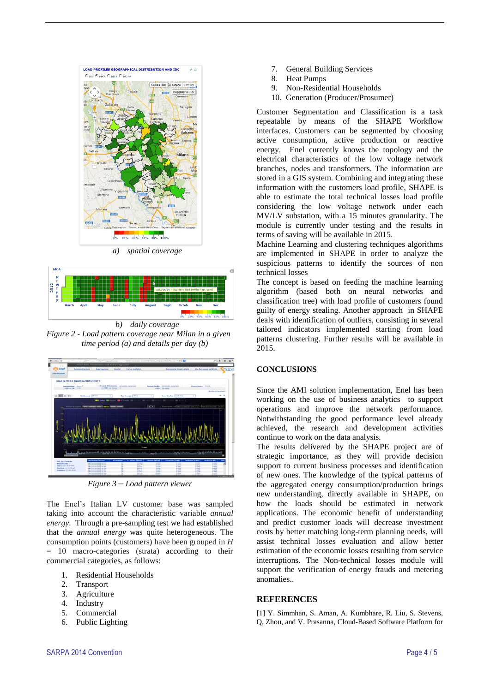



*b) daily coverage Figure 2 - Load pattern coverage near Milan in a given time period (a) and details per day (b)*



*Figure 3 – Load pattern viewer*

The Enel's Italian LV customer base was sampled taking into account the characteristic variable *annual energy*. Through a pre-sampling test we had established that the *annual energy* was quite heterogeneous. The consumption points (customers) have been grouped in *H* = 10 macro-categories (strata) according to their commercial categories, as follows:

- 1. Residential Households
- 2. Transport
- 3. Agriculture
- 4. Industry
- 5. Commercial
- 6. Public Lighting
- 7. General Building Services
- 8. Heat Pumps
- 9. Non-Residential Households
- 10. Generation (Producer/Prosumer)

Customer Segmentation and Classification is a task repeatable by means of the SHAPE Workflow interfaces. Customers can be segmented by choosing active consumption, active production or reactive energy. Enel currently knows the topology and the electrical characteristics of the low voltage network branches, nodes and transformers. The information are stored in a GIS system. Combining and integrating these information with the customers load profile, SHAPE is able to estimate the total technical losses load profile considering the low voltage network under each MV/LV substation, with a 15 minutes granularity. The module is currently under testing and the results in terms of saving will be available in 2015.

Machine Learning and clustering techniques algorithms are implemented in SHAPE in order to analyze the suspicious patterns to identify the sources of non technical losses

The concept is based on feeding the machine learning algorithm (based both on neural networks and classification tree) with load profile of customers found guilty of energy stealing. Another approach in SHAPE deals with identification of outliers, consisting in several tailored indicators implemented starting from load patterns clustering. Further results will be available in 2015.

## **CONCLUSIONS**

Since the AMI solution implementation, Enel has been working on the use of business analytics to support operations and improve the network performance. Notwithstanding the good performance level already achieved, the research and development activities continue to work on the data analysis.

The results delivered by the SHAPE project are of strategic importance, as they will provide decision support to current business processes and identification of new ones. The knowledge of the typical patterns of the aggregated energy consumption/production brings new understanding, directly available in SHAPE, on how the loads should be estimated in network applications. The economic benefit of understanding and predict customer loads will decrease investment costs by better matching long-term planning needs, will assist technical losses evaluation and allow better estimation of the economic losses resulting from service interruptions. The Non-technical losses module will support the verification of energy frauds and metering anomalies..

#### **REFERENCES**

[1] Y. Simmhan, S. Aman, A. Kumbhare, R. Liu, S. Stevens, Q, Zhou, and V. Prasanna, Cloud-Based Software Platform for